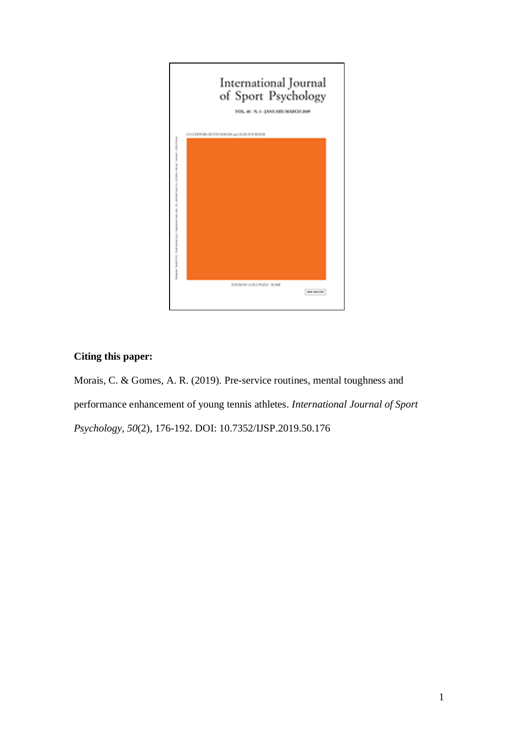

# **Citing this paper:**

Morais, C. & Gomes, A. R. (2019). Pre-service routines, mental toughness and performance enhancement of young tennis athletes. *International Journal of Sport Psychology, 50*(2), 176-192. DOI: 10.7352/IJSP.2019.50.176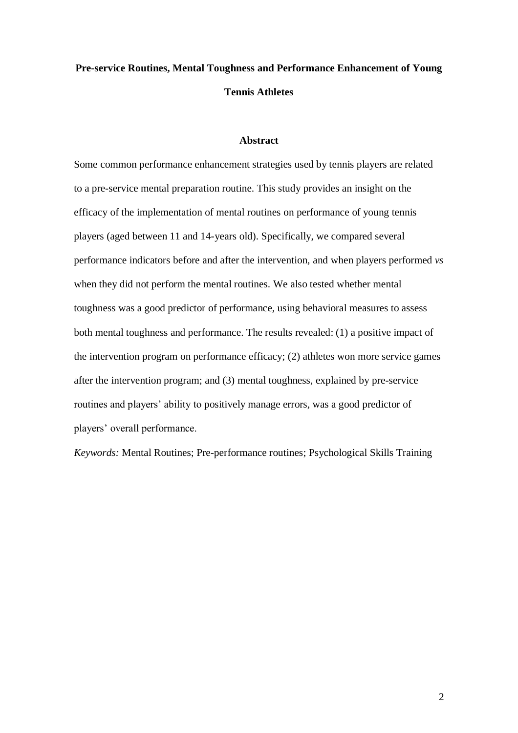# **Pre-service Routines, Mental Toughness and Performance Enhancement of Young Tennis Athletes**

## **Abstract**

Some common performance enhancement strategies used by tennis players are related to a pre-service mental preparation routine. This study provides an insight on the efficacy of the implementation of mental routines on performance of young tennis players (aged between 11 and 14-years old). Specifically, we compared several performance indicators before and after the intervention, and when players performed *vs* when they did not perform the mental routines. We also tested whether mental toughness was a good predictor of performance, using behavioral measures to assess both mental toughness and performance. The results revealed: (1) a positive impact of the intervention program on performance efficacy; (2) athletes won more service games after the intervention program; and (3) mental toughness, explained by pre-service routines and players' ability to positively manage errors, was a good predictor of players' overall performance.

*Keywords:* Mental Routines; Pre-performance routines; Psychological Skills Training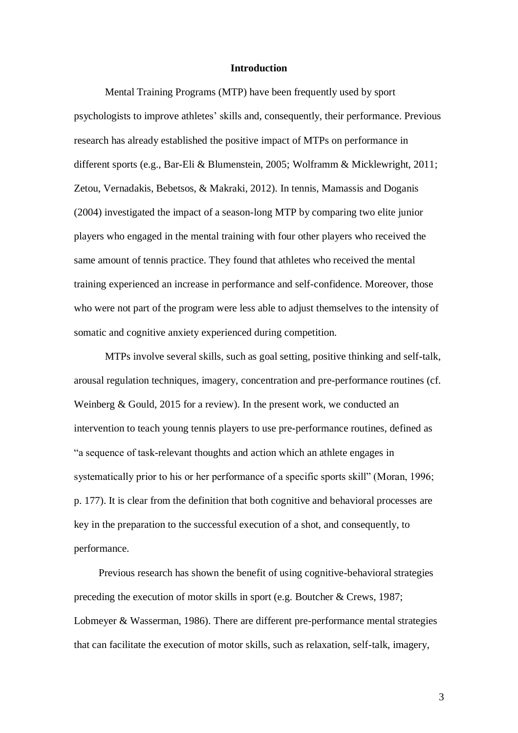#### **Introduction**

Mental Training Programs (MTP) have been frequently used by sport psychologists to improve athletes' skills and, consequently, their performance. Previous research has already established the positive impact of MTPs on performance in different sports (e.g., Bar-Eli & Blumenstein, 2005; Wolframm & Micklewright, 2011; Zetou, Vernadakis, Bebetsos, & Makraki, 2012). In tennis, Mamassis and Doganis (2004) investigated the impact of a season-long MTP by comparing two elite junior players who engaged in the mental training with four other players who received the same amount of tennis practice. They found that athletes who received the mental training experienced an increase in performance and self-confidence. Moreover, those who were not part of the program were less able to adjust themselves to the intensity of somatic and cognitive anxiety experienced during competition.

MTPs involve several skills, such as goal setting, positive thinking and self-talk, arousal regulation techniques, imagery, concentration and pre-performance routines (cf. Weinberg & Gould, 2015 for a review). In the present work, we conducted an intervention to teach young tennis players to use pre-performance routines, defined as "a sequence of task-relevant thoughts and action which an athlete engages in systematically prior to his or her performance of a specific sports skill" (Moran, 1996; p. 177). It is clear from the definition that both cognitive and behavioral processes are key in the preparation to the successful execution of a shot, and consequently, to performance.

Previous research has shown the benefit of using cognitive-behavioral strategies preceding the execution of motor skills in sport (e.g. Boutcher & Crews, 1987; Lobmeyer & Wasserman, 1986). There are different pre-performance mental strategies that can facilitate the execution of motor skills, such as relaxation, self-talk, imagery,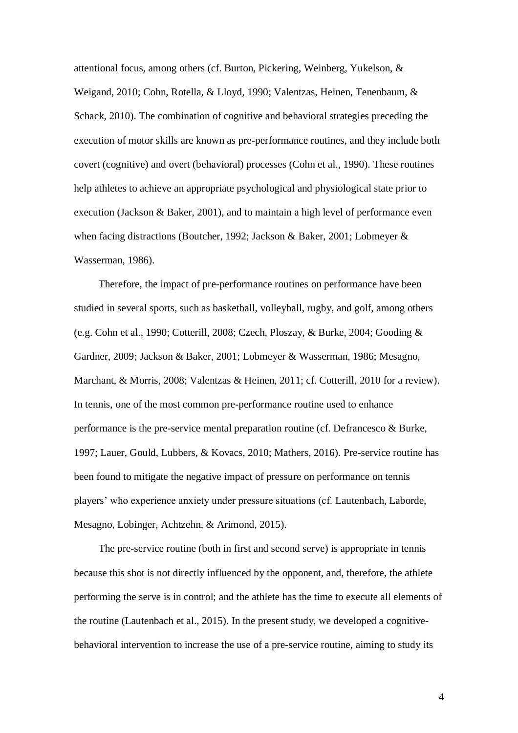attentional focus, among others (cf. Burton, Pickering, Weinberg, Yukelson, & Weigand, 2010; Cohn, Rotella, & Lloyd, 1990; Valentzas, Heinen, Tenenbaum, & Schack, 2010). The combination of cognitive and behavioral strategies preceding the execution of motor skills are known as pre-performance routines, and they include both covert (cognitive) and overt (behavioral) processes (Cohn et al., 1990). These routines help athletes to achieve an appropriate psychological and physiological state prior to execution (Jackson & Baker, 2001), and to maintain a high level of performance even when facing distractions (Boutcher, 1992; Jackson & Baker, 2001; Lobmeyer & Wasserman, 1986).

Therefore, the impact of pre-performance routines on performance have been studied in several sports, such as basketball, volleyball, rugby, and golf, among others (e.g. Cohn et al., 1990; Cotterill, 2008; Czech, Ploszay, & Burke, 2004; Gooding & Gardner, 2009; Jackson & Baker, 2001; Lobmeyer & Wasserman, 1986; Mesagno, Marchant, & Morris, 2008; Valentzas & Heinen, 2011; cf. Cotterill, 2010 for a review). In tennis, one of the most common pre-performance routine used to enhance performance is the pre-service mental preparation routine (cf. Defrancesco & Burke, 1997; Lauer, Gould, Lubbers, & Kovacs, 2010; Mathers, 2016). Pre-service routine has been found to mitigate the negative impact of pressure on performance on tennis players' who experience anxiety under pressure situations (cf. Lautenbach, Laborde, Mesagno, Lobinger, Achtzehn, & Arimond, 2015).

The pre-service routine (both in first and second serve) is appropriate in tennis because this shot is not directly influenced by the opponent, and, therefore, the athlete performing the serve is in control; and the athlete has the time to execute all elements of the routine (Lautenbach et al., 2015). In the present study, we developed a cognitivebehavioral intervention to increase the use of a pre-service routine, aiming to study its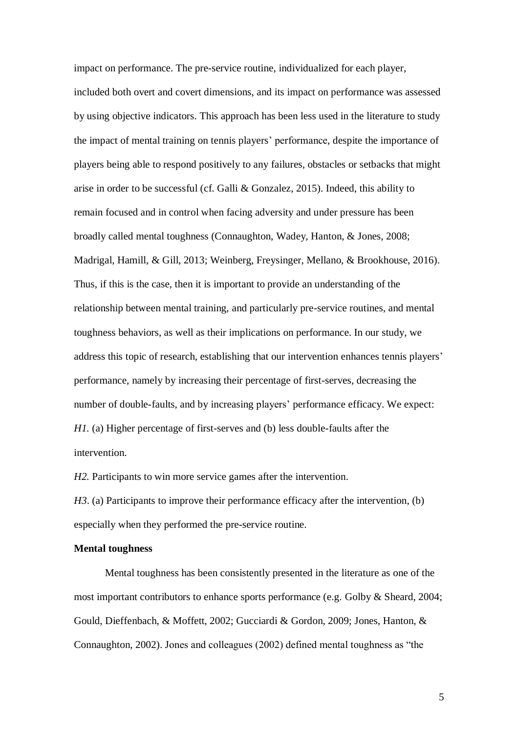impact on performance. The pre-service routine, individualized for each player, included both overt and covert dimensions, and its impact on performance was assessed by using objective indicators. This approach has been less used in the literature to study the impact of mental training on tennis players' performance, despite the importance of players being able to respond positively to any failures, obstacles or setbacks that might arise in order to be successful (cf. Galli & Gonzalez, 2015). Indeed, this ability to remain focused and in control when facing adversity and under pressure has been broadly called mental toughness (Connaughton, Wadey, Hanton, & Jones, 2008; Madrigal, Hamill, & Gill, 2013; Weinberg, Freysinger, Mellano, & Brookhouse, 2016). Thus, if this is the case, then it is important to provide an understanding of the relationship between mental training, and particularly pre-service routines, and mental toughness behaviors, as well as their implications on performance. In our study, we address this topic of research, establishing that our intervention enhances tennis players' performance, namely by increasing their percentage of first-serves, decreasing the number of double-faults, and by increasing players' performance efficacy. We expect: *H1.* (a) Higher percentage of first-serves and (b) less double-faults after the intervention.

*H2.* Participants to win more service games after the intervention.

*H3*. (a) Participants to improve their performance efficacy after the intervention, (b) especially when they performed the pre-service routine.

## **Mental toughness**

Mental toughness has been consistently presented in the literature as one of the most important contributors to enhance sports performance (e.g. Golby & Sheard, 2004; Gould, Dieffenbach, & Moffett, 2002; Gucciardi & Gordon, 2009; Jones, Hanton, & Connaughton, 2002). Jones and colleagues (2002) defined mental toughness as "the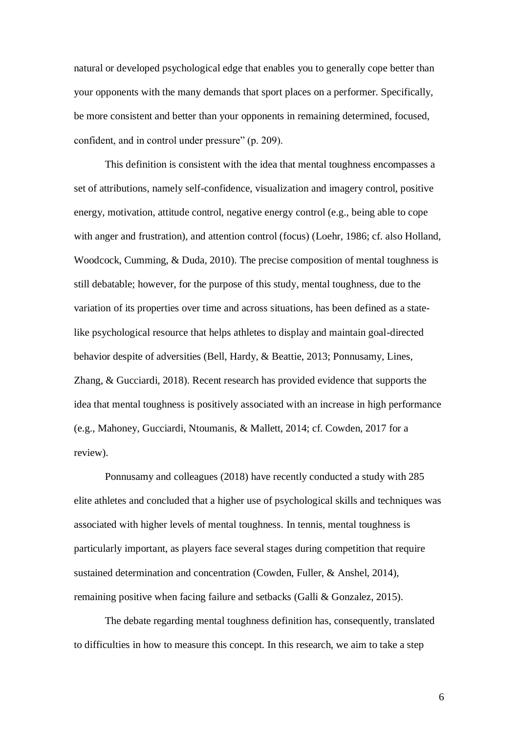natural or developed psychological edge that enables you to generally cope better than your opponents with the many demands that sport places on a performer. Specifically, be more consistent and better than your opponents in remaining determined, focused, confident, and in control under pressure" (p. 209).

This definition is consistent with the idea that mental toughness encompasses a set of attributions, namely self-confidence, visualization and imagery control, positive energy, motivation, attitude control, negative energy control (e.g., being able to cope with anger and frustration), and attention control (focus) (Loehr, 1986; cf. also Holland, Woodcock, Cumming, & Duda, 2010). The precise composition of mental toughness is still debatable; however, for the purpose of this study, mental toughness, due to the variation of its properties over time and across situations, has been defined as a statelike psychological resource that helps athletes to display and maintain goal-directed behavior despite of adversities (Bell, Hardy, & Beattie, 2013; Ponnusamy, Lines, Zhang, & Gucciardi, 2018). Recent research has provided evidence that supports the idea that mental toughness is positively associated with an increase in high performance (e.g., Mahoney, Gucciardi, Ntoumanis, & Mallett, 2014; cf. Cowden, 2017 for a review).

Ponnusamy and colleagues (2018) have recently conducted a study with 285 elite athletes and concluded that a higher use of psychological skills and techniques was associated with higher levels of mental toughness. In tennis, mental toughness is particularly important, as players face several stages during competition that require sustained determination and concentration (Cowden, Fuller, & Anshel, 2014), remaining positive when facing failure and setbacks (Galli & Gonzalez, 2015).

The debate regarding mental toughness definition has, consequently, translated to difficulties in how to measure this concept. In this research, we aim to take a step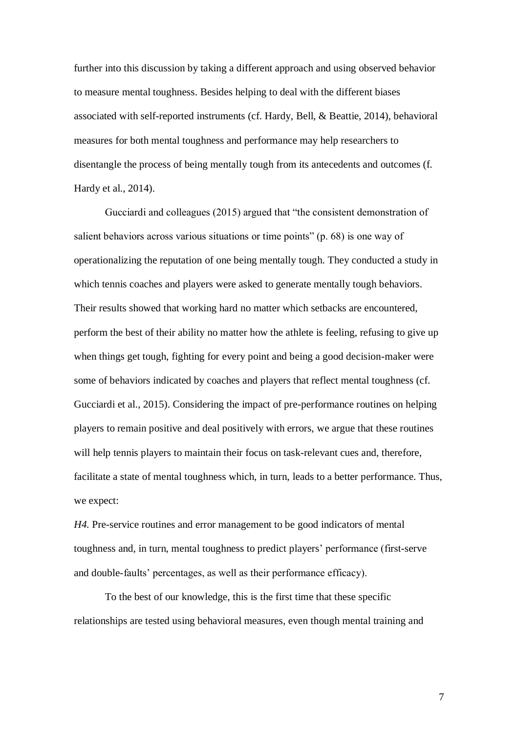further into this discussion by taking a different approach and using observed behavior to measure mental toughness. Besides helping to deal with the different biases associated with self-reported instruments (cf. Hardy, Bell, & Beattie, 2014), behavioral measures for both mental toughness and performance may help researchers to disentangle the process of being mentally tough from its antecedents and outcomes (f. Hardy et al., 2014).

Gucciardi and colleagues (2015) argued that "the consistent demonstration of salient behaviors across various situations or time points" (p. 68) is one way of operationalizing the reputation of one being mentally tough. They conducted a study in which tennis coaches and players were asked to generate mentally tough behaviors. Their results showed that working hard no matter which setbacks are encountered, perform the best of their ability no matter how the athlete is feeling, refusing to give up when things get tough, fighting for every point and being a good decision-maker were some of behaviors indicated by coaches and players that reflect mental toughness (cf. Gucciardi et al., 2015). Considering the impact of pre-performance routines on helping players to remain positive and deal positively with errors, we argue that these routines will help tennis players to maintain their focus on task-relevant cues and, therefore, facilitate a state of mental toughness which, in turn, leads to a better performance. Thus, we expect:

*H4.* Pre-service routines and error management to be good indicators of mental toughness and, in turn, mental toughness to predict players' performance (first-serve and double-faults' percentages, as well as their performance efficacy).

To the best of our knowledge, this is the first time that these specific relationships are tested using behavioral measures, even though mental training and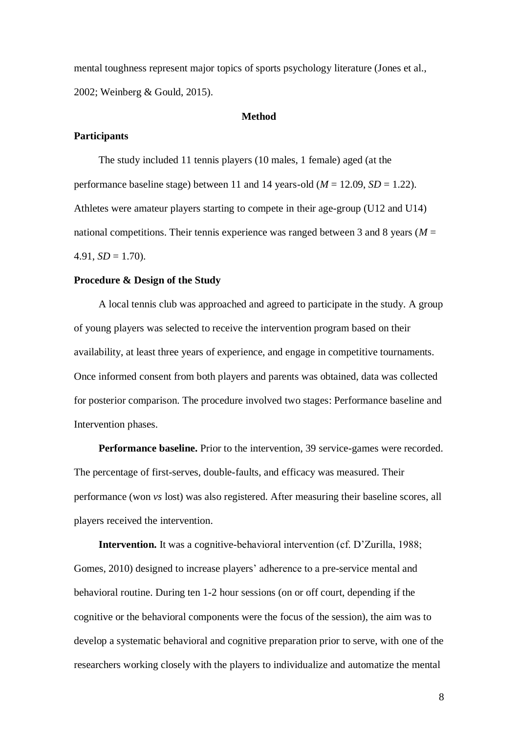mental toughness represent major topics of sports psychology literature (Jones et al., 2002; Weinberg & Gould, 2015).

#### **Method**

#### **Participants**

The study included 11 tennis players (10 males, 1 female) aged (at the performance baseline stage) between 11 and 14 years-old ( $M = 12.09$ ,  $SD = 1.22$ ). Athletes were amateur players starting to compete in their age-group (U12 and U14) national competitions. Their tennis experience was ranged between 3 and 8 years (*M* =  $4.91, SD = 1.70$ .

## **Procedure & Design of the Study**

A local tennis club was approached and agreed to participate in the study. A group of young players was selected to receive the intervention program based on their availability, at least three years of experience, and engage in competitive tournaments. Once informed consent from both players and parents was obtained, data was collected for posterior comparison. The procedure involved two stages: Performance baseline and Intervention phases.

**Performance baseline.** Prior to the intervention, 39 service-games were recorded. The percentage of first-serves, double-faults, and efficacy was measured. Their performance (won *vs* lost) was also registered. After measuring their baseline scores, all players received the intervention.

**Intervention.** It was a cognitive-behavioral intervention (cf. D'Zurilla, 1988; Gomes, 2010) designed to increase players' adherence to a pre-service mental and behavioral routine. During ten 1-2 hour sessions (on or off court, depending if the cognitive or the behavioral components were the focus of the session), the aim was to develop a systematic behavioral and cognitive preparation prior to serve, with one of the researchers working closely with the players to individualize and automatize the mental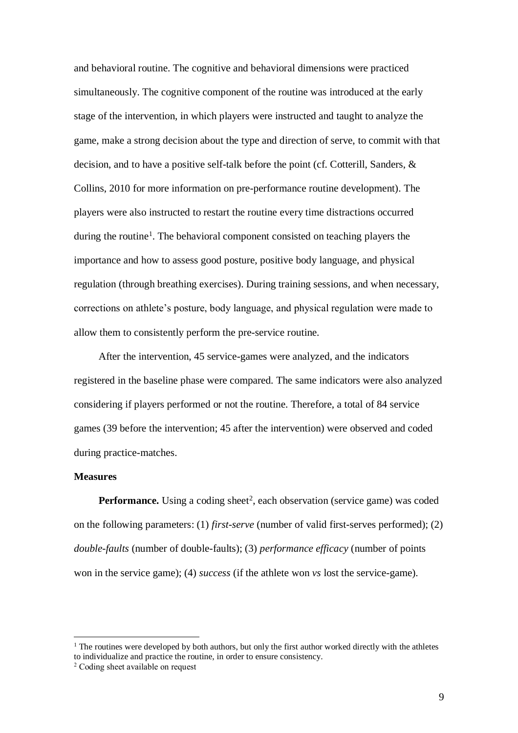and behavioral routine. The cognitive and behavioral dimensions were practiced simultaneously. The cognitive component of the routine was introduced at the early stage of the intervention, in which players were instructed and taught to analyze the game, make a strong decision about the type and direction of serve, to commit with that decision, and to have a positive self-talk before the point (cf. Cotterill, Sanders, & Collins, 2010 for more information on pre-performance routine development). The players were also instructed to restart the routine every time distractions occurred during the routine<sup>1</sup>. The behavioral component consisted on teaching players the importance and how to assess good posture, positive body language, and physical regulation (through breathing exercises). During training sessions, and when necessary, corrections on athlete's posture, body language, and physical regulation were made to allow them to consistently perform the pre-service routine.

After the intervention, 45 service-games were analyzed, and the indicators registered in the baseline phase were compared. The same indicators were also analyzed considering if players performed or not the routine. Therefore, a total of 84 service games (39 before the intervention; 45 after the intervention) were observed and coded during practice-matches.

#### **Measures**

l

Performance. Using a coding sheet<sup>2</sup>, each observation (service game) was coded on the following parameters: (1) *first-serve* (number of valid first-serves performed); (2) *double-faults* (number of double-faults); (3) *performance efficacy* (number of points won in the service game); (4) *success* (if the athlete won *vs* lost the service-game).

 $1$  The routines were developed by both authors, but only the first author worked directly with the athletes to individualize and practice the routine, in order to ensure consistency.

<sup>2</sup> Coding sheet available on request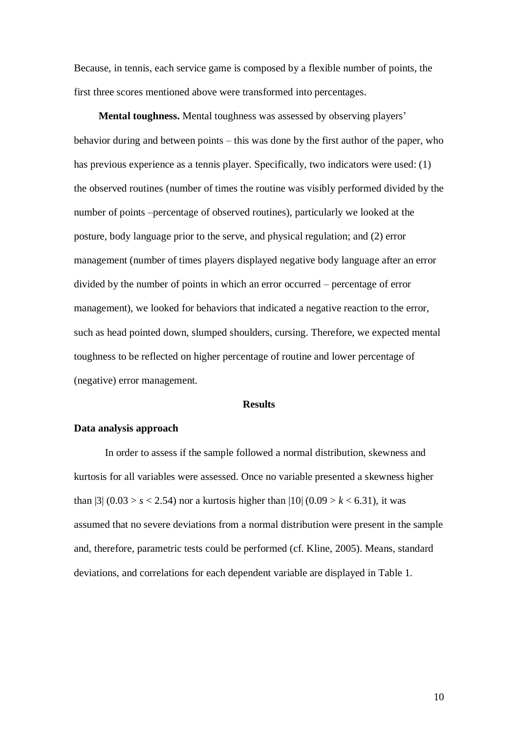Because, in tennis, each service game is composed by a flexible number of points, the first three scores mentioned above were transformed into percentages.

**Mental toughness.** Mental toughness was assessed by observing players' behavior during and between points – this was done by the first author of the paper, who has previous experience as a tennis player. Specifically, two indicators were used: (1) the observed routines (number of times the routine was visibly performed divided by the number of points –percentage of observed routines), particularly we looked at the posture, body language prior to the serve, and physical regulation; and (2) error management (number of times players displayed negative body language after an error divided by the number of points in which an error occurred – percentage of error management), we looked for behaviors that indicated a negative reaction to the error, such as head pointed down, slumped shoulders, cursing. Therefore, we expected mental toughness to be reflected on higher percentage of routine and lower percentage of (negative) error management.

### **Results**

#### **Data analysis approach**

In order to assess if the sample followed a normal distribution, skewness and kurtosis for all variables were assessed. Once no variable presented a skewness higher than  $|3|$  (0.03 > *s* < 2.54) nor a kurtosis higher than  $|10|$  (0.09 > *k* < 6.31), it was assumed that no severe deviations from a normal distribution were present in the sample and, therefore, parametric tests could be performed (cf. Kline, 2005). Means, standard deviations, and correlations for each dependent variable are displayed in Table 1.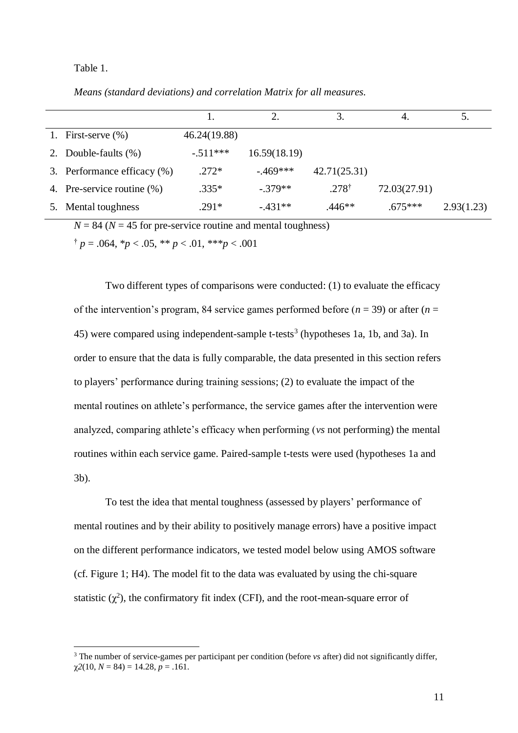#### Table 1.

l

*Means (standard deviations) and correlation Matrix for all measures.*

|                             |              |              |                  | 4.           | 5.         |
|-----------------------------|--------------|--------------|------------------|--------------|------------|
| 1. First-serve $(\%)$       | 46.24(19.88) |              |                  |              |            |
| 2. Double-faults (%)        | $-.511***$   | 16.59(18.19) |                  |              |            |
| 3. Performance efficacy (%) | $.272*$      | $-0.469***$  | 42.71(25.31)     |              |            |
| 4. Pre-service routine (%)  | $.335*$      | $-.379**$    | $.278^{\dagger}$ | 72.03(27.91) |            |
| Mental toughness            | $.291*$      | $-.431**$    | $.446**$         | $.675***$    | 2.93(1.23) |

 $N = 84$  ( $N = 45$  for pre-service routine and mental toughness)

 $\uparrow p = .064$ ,  $\uparrow p < .05$ ,  $\uparrow \uparrow p < .01$ ,  $\uparrow \uparrow \uparrow p < .001$ 

Two different types of comparisons were conducted: (1) to evaluate the efficacy of the intervention's program, 84 service games performed before  $(n = 39)$  or after  $(n = 10)$ 45) were compared using independent-sample t-tests<sup>3</sup> (hypotheses 1a, 1b, and 3a). In order to ensure that the data is fully comparable, the data presented in this section refers to players' performance during training sessions; (2) to evaluate the impact of the mental routines on athlete's performance, the service games after the intervention were analyzed, comparing athlete's efficacy when performing (*vs* not performing) the mental routines within each service game. Paired-sample t-tests were used (hypotheses 1a and 3b).

To test the idea that mental toughness (assessed by players' performance of mental routines and by their ability to positively manage errors) have a positive impact on the different performance indicators, we tested model below using AMOS software (cf. Figure 1; H4). The model fit to the data was evaluated by using the chi-square statistic  $(\chi^2)$ , the confirmatory fit index (CFI), and the root-mean-square error of

<sup>3</sup> The number of service-games per participant per condition (before *vs* after) did not significantly differ,  $\gamma$ 2(10, *N* = 84) = 14.28, *p* = .161.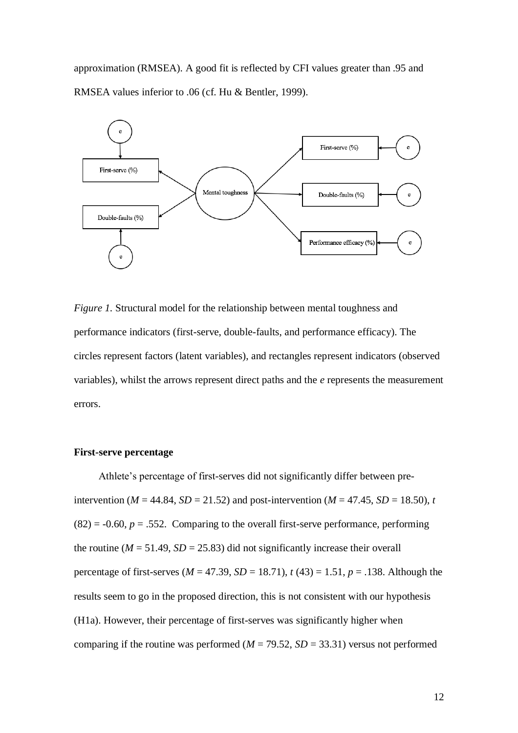approximation (RMSEA). A good fit is reflected by CFI values greater than .95 and RMSEA values inferior to .06 (cf. Hu & Bentler, 1999).



*Figure 1.* Structural model for the relationship between mental toughness and performance indicators (first-serve, double-faults, and performance efficacy). The circles represent factors (latent variables), and rectangles represent indicators (observed variables), whilst the arrows represent direct paths and the *e* represents the measurement errors.

## **First-serve percentage**

Athlete's percentage of first-serves did not significantly differ between preintervention ( $M = 44.84$ ,  $SD = 21.52$ ) and post-intervention ( $M = 47.45$ ,  $SD = 18.50$ ), *t*  $(82) = -0.60$ ,  $p = .552$ . Comparing to the overall first-serve performance, performing the routine ( $M = 51.49$ ,  $SD = 25.83$ ) did not significantly increase their overall percentage of first-serves ( $M = 47.39$ ,  $SD = 18.71$ ),  $t(43) = 1.51$ ,  $p = .138$ . Although the results seem to go in the proposed direction, this is not consistent with our hypothesis (H1a). However, their percentage of first-serves was significantly higher when comparing if the routine was performed  $(M = 79.52, SD = 33.31)$  versus not performed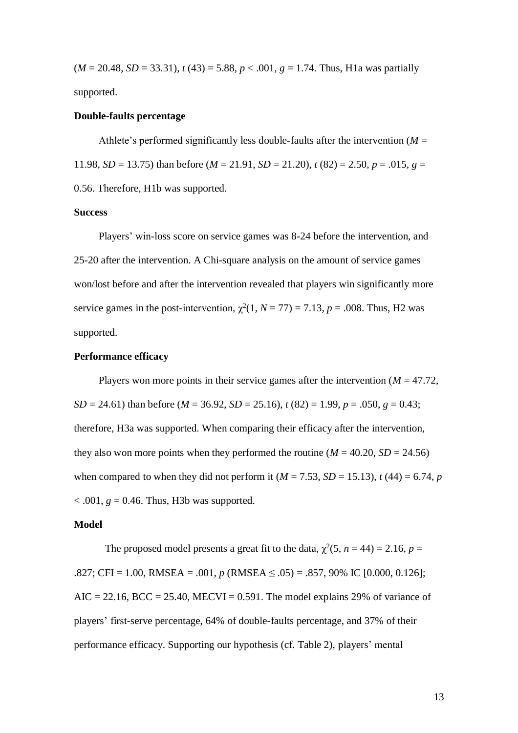$(M = 20.48, SD = 33.31), t(43) = 5.88, p < .001, g = 1.74$ . Thus, H<sub>1</sub>a was partially supported.

#### **Double-faults percentage**

Athlete's performed significantly less double-faults after the intervention  $(M =$ 11.98, *SD* = 13.75) than before (*M* = 21.91, *SD* = 21.20),  $t$  (82) = 2.50,  $p = .015$ ,  $g =$ 0.56. Therefore, H1b was supported.

## **Success**

Players' win-loss score on service games was 8-24 before the intervention, and 25-20 after the intervention. A Chi-square analysis on the amount of service games won/lost before and after the intervention revealed that players win significantly more service games in the post-intervention,  $\chi^2(1, N = 77) = 7.13$ ,  $p = .008$ . Thus, H2 was supported.

## **Performance efficacy**

Players won more points in their service games after the intervention ( $M = 47.72$ , *SD* = 24.61) than before (*M* = 36.92, *SD* = 25.16),  $t$  (82) = 1.99,  $p = .050$ ,  $g = 0.43$ ; therefore, H3a was supported. When comparing their efficacy after the intervention, they also won more points when they performed the routine  $(M = 40.20, SD = 24.56)$ when compared to when they did not perform it  $(M = 7.53, SD = 15.13)$ ,  $t(44) = 6.74$ , *p*  $\epsilon$ .001,  $g = 0.46$ . Thus, H3b was supported.

#### **Model**

The proposed model presents a great fit to the data,  $\chi^2(5, n = 44) = 2.16$ ,  $p =$  $.827$ ; CFI = 1.00, RMSEA = .001, *p* (RMSEA  $\leq .05$ ) = .857, 90% IC [0.000, 0.126];  $AIC = 22.16$ ,  $BCC = 25.40$ ,  $MECVI = 0.591$ . The model explains 29% of variance of players' first-serve percentage, 64% of double-faults percentage, and 37% of their performance efficacy. Supporting our hypothesis (cf. Table 2), players' mental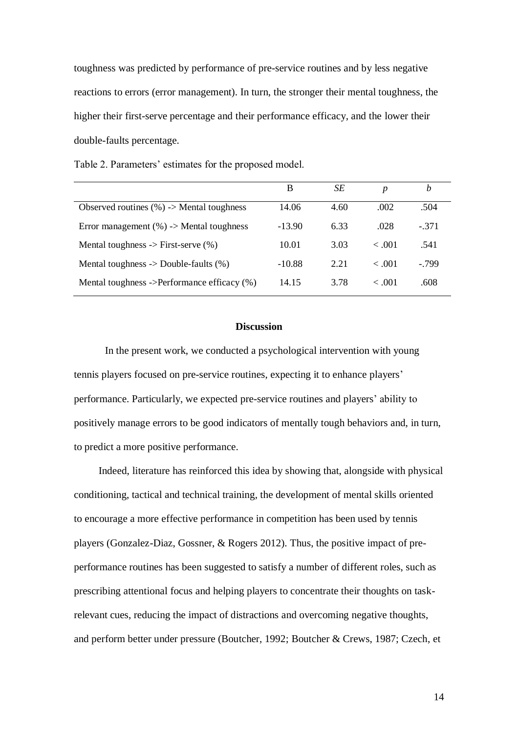toughness was predicted by performance of pre-service routines and by less negative reactions to errors (error management). In turn, the stronger their mental toughness, the higher their first-serve percentage and their performance efficacy, and the lower their double-faults percentage.

Table 2. Parameters' estimates for the proposed model.

|                                                   | B        | SЕ   | $\boldsymbol{p}$ | b        |
|---------------------------------------------------|----------|------|------------------|----------|
| Observed routines $(\%)>$ Mental toughness        | 14.06    | 4.60 | .002             | .504     |
| Error management $(\%)$ -> Mental toughness       | $-13.90$ | 6.33 | .028             | $-371$   |
| Mental toughness $\rightarrow$ First-serve $(\%)$ | 10.01    | 3.03 | < .001           | .541     |
| Mental toughness $\rightarrow$ Double-faults (%)  | $-10.88$ | 2.21 | < .001           | $-0.799$ |
| Mental toughness ->Performance efficacy (%)       | 14.15    | 3.78 | < .001           | .608     |

### **Discussion**

In the present work, we conducted a psychological intervention with young tennis players focused on pre-service routines, expecting it to enhance players' performance. Particularly, we expected pre-service routines and players' ability to positively manage errors to be good indicators of mentally tough behaviors and, in turn, to predict a more positive performance.

Indeed, literature has reinforced this idea by showing that, alongside with physical conditioning, tactical and technical training, the development of mental skills oriented to encourage a more effective performance in competition has been used by tennis players (Gonzalez-Diaz, Gossner, & Rogers 2012). Thus, the positive impact of preperformance routines has been suggested to satisfy a number of different roles, such as prescribing attentional focus and helping players to concentrate their thoughts on taskrelevant cues, reducing the impact of distractions and overcoming negative thoughts, and perform better under pressure (Boutcher, 1992; Boutcher & Crews, 1987; Czech, et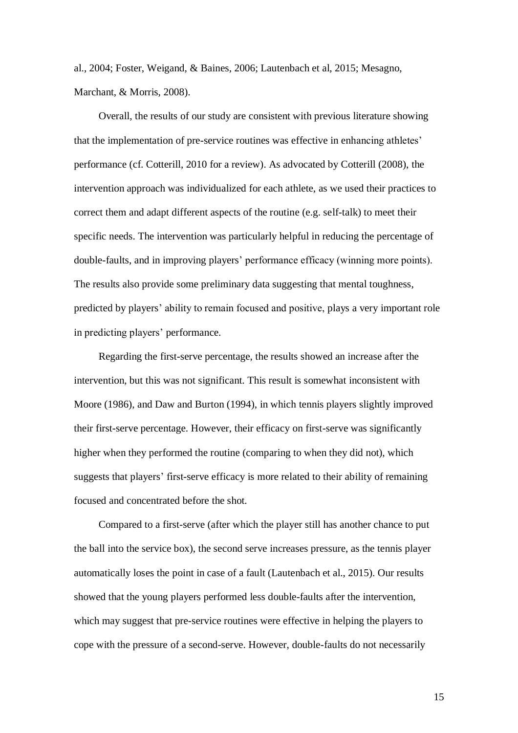al., 2004; Foster, Weigand, & Baines, 2006; Lautenbach et al, 2015; Mesagno, Marchant, & Morris, 2008).

Overall, the results of our study are consistent with previous literature showing that the implementation of pre-service routines was effective in enhancing athletes' performance (cf. Cotterill, 2010 for a review). As advocated by Cotterill (2008), the intervention approach was individualized for each athlete, as we used their practices to correct them and adapt different aspects of the routine (e.g. self-talk) to meet their specific needs. The intervention was particularly helpful in reducing the percentage of double-faults, and in improving players' performance efficacy (winning more points). The results also provide some preliminary data suggesting that mental toughness, predicted by players' ability to remain focused and positive, plays a very important role in predicting players' performance.

Regarding the first-serve percentage, the results showed an increase after the intervention, but this was not significant. This result is somewhat inconsistent with Moore (1986), and Daw and Burton (1994), in which tennis players slightly improved their first-serve percentage. However, their efficacy on first-serve was significantly higher when they performed the routine (comparing to when they did not), which suggests that players' first-serve efficacy is more related to their ability of remaining focused and concentrated before the shot.

Compared to a first-serve (after which the player still has another chance to put the ball into the service box), the second serve increases pressure, as the tennis player automatically loses the point in case of a fault (Lautenbach et al., 2015). Our results showed that the young players performed less double-faults after the intervention, which may suggest that pre-service routines were effective in helping the players to cope with the pressure of a second-serve. However, double-faults do not necessarily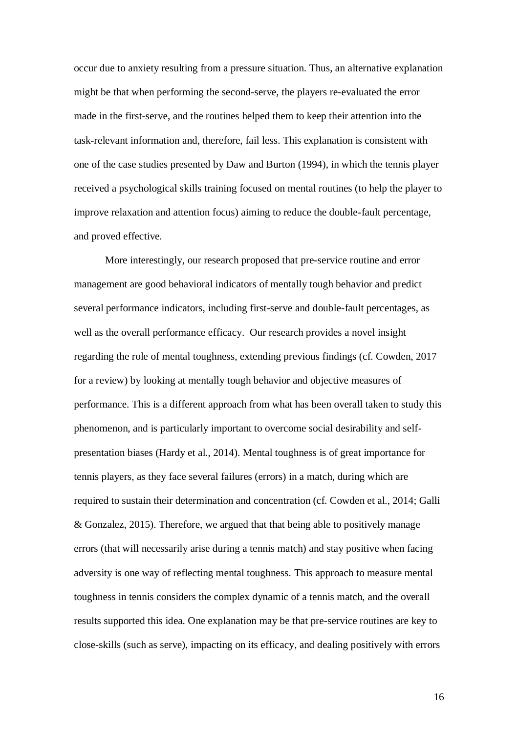occur due to anxiety resulting from a pressure situation. Thus, an alternative explanation might be that when performing the second-serve, the players re-evaluated the error made in the first-serve, and the routines helped them to keep their attention into the task-relevant information and, therefore, fail less. This explanation is consistent with one of the case studies presented by Daw and Burton (1994), in which the tennis player received a psychological skills training focused on mental routines (to help the player to improve relaxation and attention focus) aiming to reduce the double-fault percentage, and proved effective.

More interestingly, our research proposed that pre-service routine and error management are good behavioral indicators of mentally tough behavior and predict several performance indicators, including first-serve and double-fault percentages, as well as the overall performance efficacy. Our research provides a novel insight regarding the role of mental toughness, extending previous findings (cf. Cowden, 2017 for a review) by looking at mentally tough behavior and objective measures of performance. This is a different approach from what has been overall taken to study this phenomenon, and is particularly important to overcome social desirability and selfpresentation biases (Hardy et al., 2014). Mental toughness is of great importance for tennis players, as they face several failures (errors) in a match, during which are required to sustain their determination and concentration (cf. Cowden et al., 2014; Galli & Gonzalez, 2015). Therefore, we argued that that being able to positively manage errors (that will necessarily arise during a tennis match) and stay positive when facing adversity is one way of reflecting mental toughness. This approach to measure mental toughness in tennis considers the complex dynamic of a tennis match, and the overall results supported this idea. One explanation may be that pre-service routines are key to close-skills (such as serve), impacting on its efficacy, and dealing positively with errors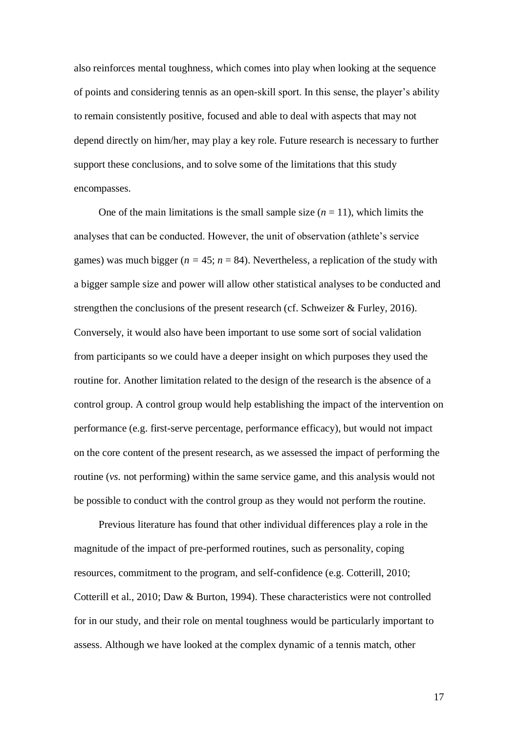also reinforces mental toughness, which comes into play when looking at the sequence of points and considering tennis as an open-skill sport. In this sense, the player's ability to remain consistently positive, focused and able to deal with aspects that may not depend directly on him/her, may play a key role. Future research is necessary to further support these conclusions, and to solve some of the limitations that this study encompasses.

One of the main limitations is the small sample size  $(n = 11)$ , which limits the analyses that can be conducted. However, the unit of observation (athlete's service games) was much bigger ( $n = 45$ ;  $n = 84$ ). Nevertheless, a replication of the study with a bigger sample size and power will allow other statistical analyses to be conducted and strengthen the conclusions of the present research (cf. Schweizer & Furley, 2016). Conversely, it would also have been important to use some sort of social validation from participants so we could have a deeper insight on which purposes they used the routine for. Another limitation related to the design of the research is the absence of a control group. A control group would help establishing the impact of the intervention on performance (e.g. first-serve percentage, performance efficacy), but would not impact on the core content of the present research, as we assessed the impact of performing the routine (*vs.* not performing) within the same service game, and this analysis would not be possible to conduct with the control group as they would not perform the routine.

Previous literature has found that other individual differences play a role in the magnitude of the impact of pre-performed routines, such as personality, coping resources, commitment to the program, and self-confidence (e.g. Cotterill, 2010; Cotterill et al., 2010; Daw & Burton, 1994). These characteristics were not controlled for in our study, and their role on mental toughness would be particularly important to assess. Although we have looked at the complex dynamic of a tennis match, other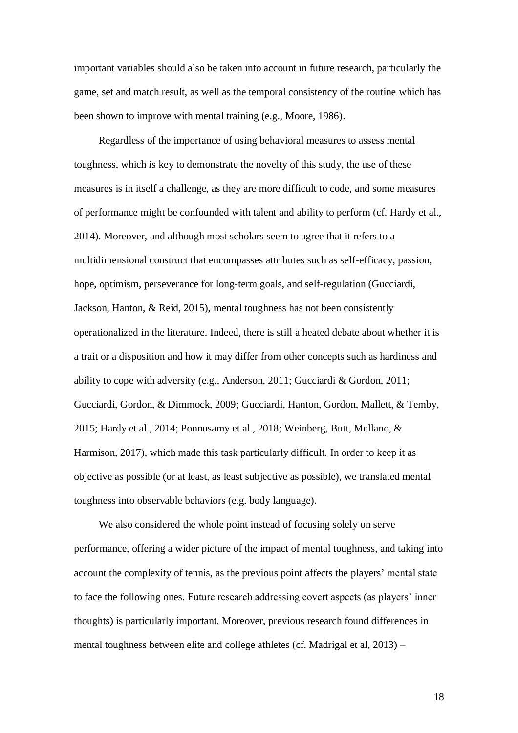important variables should also be taken into account in future research, particularly the game, set and match result, as well as the temporal consistency of the routine which has been shown to improve with mental training (e.g., Moore, 1986).

Regardless of the importance of using behavioral measures to assess mental toughness, which is key to demonstrate the novelty of this study, the use of these measures is in itself a challenge, as they are more difficult to code, and some measures of performance might be confounded with talent and ability to perform (cf. Hardy et al., 2014). Moreover, and although most scholars seem to agree that it refers to a multidimensional construct that encompasses attributes such as self-efficacy, passion, hope, optimism, perseverance for long-term goals, and self-regulation (Gucciardi, Jackson, Hanton, & Reid, 2015), mental toughness has not been consistently operationalized in the literature. Indeed, there is still a heated debate about whether it is a trait or a disposition and how it may differ from other concepts such as hardiness and ability to cope with adversity (e.g., Anderson, 2011; Gucciardi & Gordon, 2011; Gucciardi, Gordon, & Dimmock, 2009; Gucciardi, Hanton, Gordon, Mallett, & Temby, 2015; Hardy et al., 2014; Ponnusamy et al., 2018; Weinberg, Butt, Mellano, & Harmison, 2017), which made this task particularly difficult. In order to keep it as objective as possible (or at least, as least subjective as possible), we translated mental toughness into observable behaviors (e.g. body language).

We also considered the whole point instead of focusing solely on serve performance, offering a wider picture of the impact of mental toughness, and taking into account the complexity of tennis, as the previous point affects the players' mental state to face the following ones. Future research addressing covert aspects (as players' inner thoughts) is particularly important. Moreover, previous research found differences in mental toughness between elite and college athletes (cf. Madrigal et al, 2013) –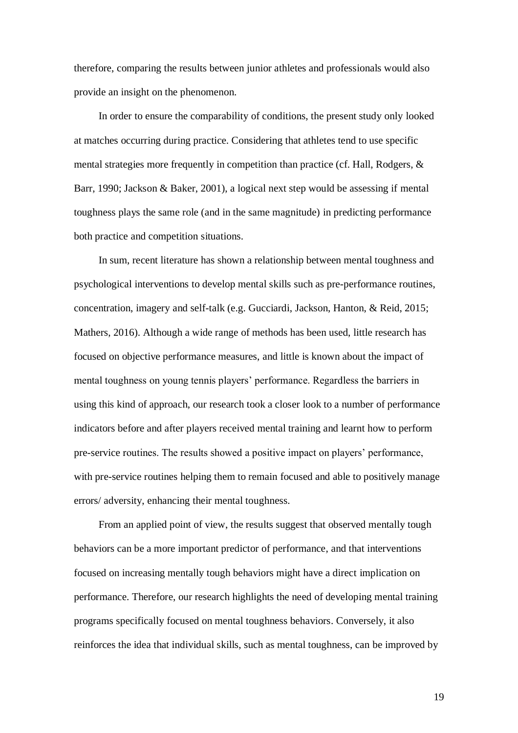therefore, comparing the results between junior athletes and professionals would also provide an insight on the phenomenon.

In order to ensure the comparability of conditions, the present study only looked at matches occurring during practice. Considering that athletes tend to use specific mental strategies more frequently in competition than practice (cf. Hall, Rodgers, & Barr, 1990; Jackson & Baker, 2001), a logical next step would be assessing if mental toughness plays the same role (and in the same magnitude) in predicting performance both practice and competition situations.

In sum, recent literature has shown a relationship between mental toughness and psychological interventions to develop mental skills such as pre-performance routines, concentration, imagery and self-talk (e.g. Gucciardi, Jackson, Hanton, & Reid, 2015; Mathers, 2016). Although a wide range of methods has been used, little research has focused on objective performance measures, and little is known about the impact of mental toughness on young tennis players' performance. Regardless the barriers in using this kind of approach, our research took a closer look to a number of performance indicators before and after players received mental training and learnt how to perform pre-service routines. The results showed a positive impact on players' performance, with pre-service routines helping them to remain focused and able to positively manage errors/ adversity, enhancing their mental toughness.

From an applied point of view, the results suggest that observed mentally tough behaviors can be a more important predictor of performance, and that interventions focused on increasing mentally tough behaviors might have a direct implication on performance. Therefore, our research highlights the need of developing mental training programs specifically focused on mental toughness behaviors. Conversely, it also reinforces the idea that individual skills, such as mental toughness, can be improved by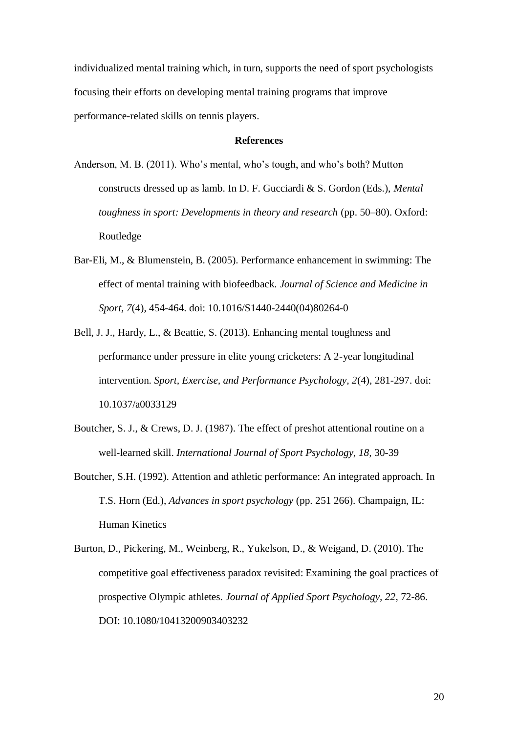individualized mental training which, in turn, supports the need of sport psychologists focusing their efforts on developing mental training programs that improve performance-related skills on tennis players.

## **References**

- Anderson, M. B. (2011). Who's mental, who's tough, and who's both? Mutton constructs dressed up as lamb. In D. F. Gucciardi & S. Gordon (Eds.), *Mental toughness in sport: Developments in theory and research (pp. 50–80). Oxford:* Routledge
- Bar-Eli, M., & Blumenstein, B. (2005). Performance enhancement in swimming: The effect of mental training with biofeedback. *Journal of Science and Medicine in Sport, 7*(4), 454-464. doi: 10.1016/S1440-2440(04)80264-0
- Bell, J. J., Hardy, L., & Beattie, S. (2013). Enhancing mental toughness and performance under pressure in elite young cricketers: A 2-year longitudinal intervention. *Sport, Exercise, and Performance Psychology, 2*(4), 281-297. doi: 10.1037/a0033129
- Boutcher, S. J., & Crews, D. J. (1987). The effect of preshot attentional routine on a well-learned skill. *International Journal of Sport Psychology, 18,* 30-39
- Boutcher, S.H. (1992). Attention and athletic performance: An integrated approach. In T.S. Horn (Ed.), *Advances in sport psychology* (pp. 251 266). Champaign, IL: Human Kinetics
- Burton, D., Pickering, M., Weinberg, R., Yukelson, D., & Weigand, D. (2010). The competitive goal effectiveness paradox revisited: Examining the goal practices of prospective Olympic athletes. *Journal of Applied Sport Psychology, 22*, 72-86. DOI: 10.1080/10413200903403232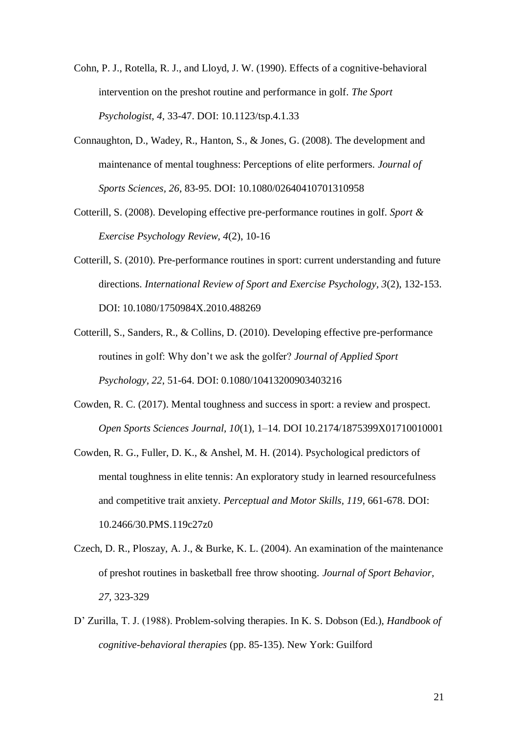- Cohn, P. J., Rotella, R. J., and Lloyd, J. W. (1990). Effects of a cognitive-behavioral intervention on the preshot routine and performance in golf. *The Sport Psychologist, 4*, 33-47. DOI: 10.1123/tsp.4.1.33
- Connaughton, D., Wadey, R., Hanton, S., & Jones, G. (2008). The development and maintenance of mental toughness: Perceptions of elite performers. *Journal of Sports Sciences, 26*, 83-95. DOI: 10.1080/02640410701310958
- Cotterill, S. (2008). Developing effective pre-performance routines in golf. *Sport & Exercise Psychology Review, 4*(2), 10-16
- Cotterill, S. (2010). Pre-performance routines in sport: current understanding and future directions. *International Review of Sport and Exercise Psychology, 3*(2), 132-153. DOI: 10.1080/1750984X.2010.488269
- Cotterill, S., Sanders, R., & Collins, D. (2010). Developing effective pre-performance routines in golf: Why don't we ask the golfer? *Journal of Applied Sport Psychology, 22*, 51-64. DOI: 0.1080/10413200903403216
- Cowden, R. C. (2017). Mental toughness and success in sport: a review and prospect. *Open Sports Sciences Journal, 10*(1), 1–14. DOI 10.2174/1875399X01710010001
- Cowden, R. G., Fuller, D. K., & Anshel, M. H. (2014). Psychological predictors of mental toughness in elite tennis: An exploratory study in learned resourcefulness and competitive trait anxiety. *Perceptual and Motor Skills, 119*, 661-678. DOI: 10.2466/30.PMS.119c27z0
- Czech, D. R., Ploszay, A. J., & Burke, K. L. (2004). An examination of the maintenance of preshot routines in basketball free throw shooting. *Journal of Sport Behavior, 27,* 323-329
- D' Zurilla, T. J. (1988). Problem-solving therapies. In K. S. Dobson (Ed.), *Handbook of cognitive-behavioral therapies* (pp. 85-135). New York: Guilford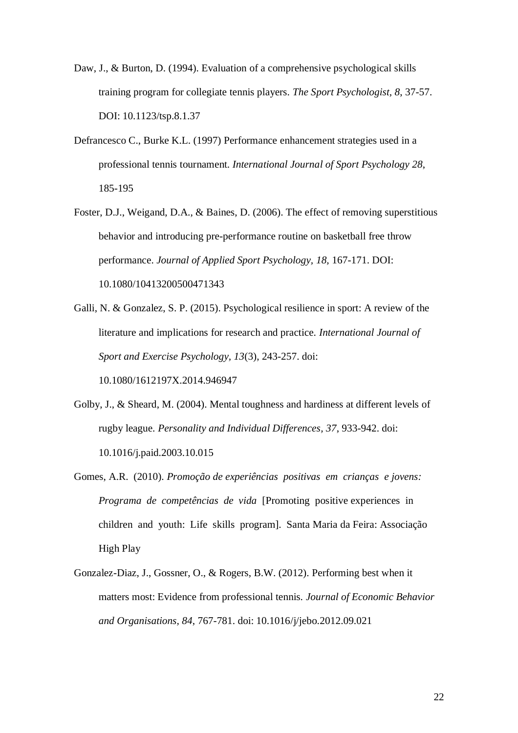- Daw, J., & Burton, D. (1994). Evaluation of a comprehensive psychological skills training program for collegiate tennis players. *The Sport Psychologist, 8*, 37-57. DOI: 10.1123/tsp.8.1.37
- Defrancesco C., Burke K.L. (1997) Performance enhancement strategies used in a professional tennis tournament. *International Journal of Sport Psychology 28*, 185-195
- Foster, D.J., Weigand, D.A., & Baines, D. (2006). The effect of removing superstitious behavior and introducing pre-performance routine on basketball free throw performance. *Journal of Applied Sport Psychology, 18,* 167-171. DOI: 10.1080/10413200500471343
- Galli, N. & Gonzalez, S. P. (2015). Psychological resilience in sport: A review of the literature and implications for research and practice. *International Journal of Sport and Exercise Psychology, 13*(3), 243-257. doi: 10.1080/1612197X.2014.946947
- Golby, J., & Sheard, M. (2004). Mental toughness and hardiness at different levels of rugby league. *Personality and Individual Differences, 37*, 933-942. doi: 10.1016/j.paid.2003.10.015
- Gomes, A.R. (2010). *Promoção de experiências positivas em crianças e jovens: Programa de competências de vida* [Promoting positive experiences in children and youth: Life skills program]. Santa Maria da Feira: Associação High Play
- Gonzalez-Diaz, J., Gossner, O., & Rogers, B.W. (2012). Performing best when it matters most: Evidence from professional tennis. *Journal of Economic Behavior and Organisations, 84*, 767-781. doi: 10.1016/j/jebo.2012.09.021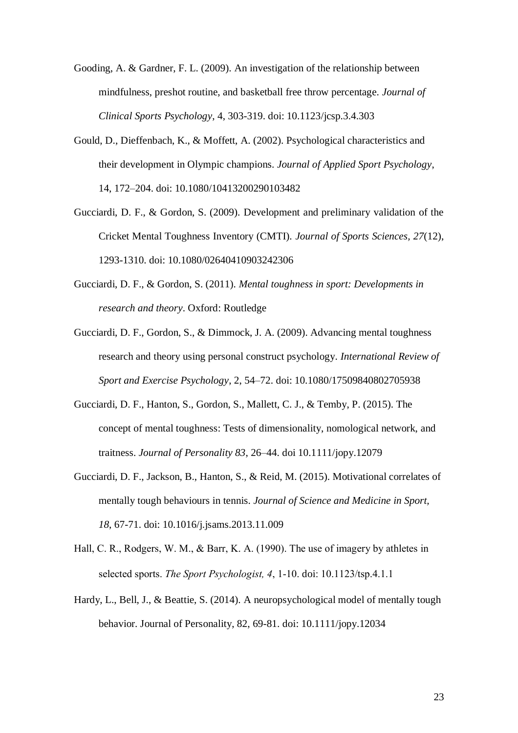- Gooding, A. & Gardner, F. L. (2009). An investigation of the relationship between mindfulness, preshot routine, and basketball free throw percentage. *Journal of Clinical Sports Psychology*, 4, 303-319. doi: 10.1123/jcsp.3.4.303
- Gould, D., Dieffenbach, K., & Moffett, A. (2002). Psychological characteristics and their development in Olympic champions. *Journal of Applied Sport Psychology*, 14, 172–204. doi: 10.1080/10413200290103482
- Gucciardi, D. F., & Gordon, S. (2009). Development and preliminary validation of the Cricket Mental Toughness Inventory (CMTI). *Journal of Sports Sciences, 27*(12), 1293-1310. doi: 10.1080/02640410903242306
- Gucciardi, D. F., & Gordon, S. (2011). *Mental toughness in sport: Developments in research and theory*. Oxford: Routledge
- Gucciardi, D. F., Gordon, S., & Dimmock, J. A. (2009). Advancing mental toughness research and theory using personal construct psychology. *International Review of Sport and Exercise Psychology*, 2, 54–72. doi: 10.1080/17509840802705938
- Gucciardi, D. F., Hanton, S., Gordon, S., Mallett, C. J., & Temby, P. (2015). The concept of mental toughness: Tests of dimensionality, nomological network, and traitness. *Journal of Personality 83*, 26–44. doi 10.1111/jopy.12079
- Gucciardi, D. F., Jackson, B., Hanton, S., & Reid, M. (2015). Motivational correlates of mentally tough behaviours in tennis. *Journal of Science and Medicine in Sport, 18*, 67-71. doi: 10.1016/j.jsams.2013.11.009
- Hall, C. R., Rodgers, W. M., & Barr, K. A. (1990). The use of imagery by athletes in selected sports. *The Sport Psychologist, 4*, 1-10. doi: 10.1123/tsp.4.1.1
- Hardy, L., Bell, J., & Beattie, S. (2014). A neuropsychological model of mentally tough behavior. Journal of Personality, 82, 69-81. doi: 10.1111/jopy.12034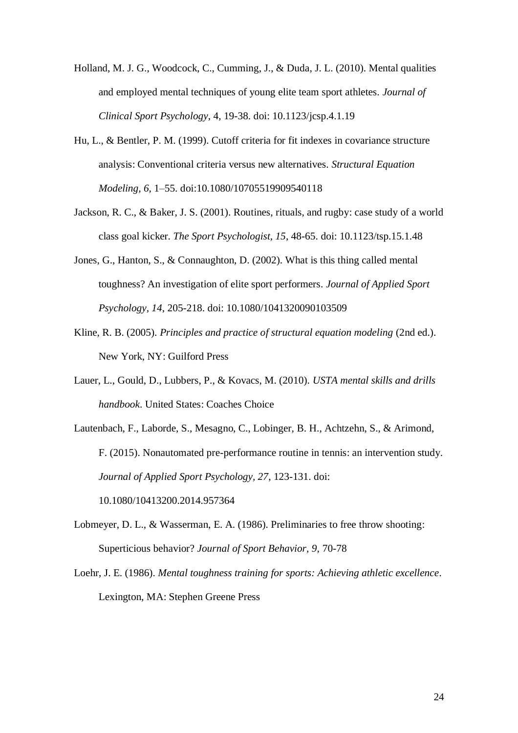- Holland, M. J. G., Woodcock, C., Cumming, J., & Duda, J. L. (2010). Mental qualities and employed mental techniques of young elite team sport athletes. *Journal of Clinical Sport Psychology*, 4, 19-38. doi: 10.1123/jcsp.4.1.19
- Hu, L., & Bentler, P. M. (1999). Cutoff criteria for fit indexes in covariance structure analysis: Conventional criteria versus new alternatives. *Structural Equation Modeling, 6,* 1–55. doi:10.1080/10705519909540118
- Jackson, R. C., & Baker, J. S. (2001). Routines, rituals, and rugby: case study of a world class goal kicker. *The Sport Psychologist, 15*, 48-65. doi: 10.1123/tsp.15.1.48
- Jones, G., Hanton, S., & Connaughton, D. (2002). What is this thing called mental toughness? An investigation of elite sport performers. *Journal of Applied Sport Psychology, 14*, 205-218. doi: 10.1080/1041320090103509
- Kline, R. B. (2005). *Principles and practice of structural equation modeling* (2nd ed.). New York, NY: Guilford Press
- Lauer, L., Gould, D., Lubbers, P., & Kovacs, M. (2010). *USTA mental skills and drills handbook*. United States: Coaches Choice
- Lautenbach, F., Laborde, S., Mesagno, C., Lobinger, B. H., Achtzehn, S., & Arimond, F. (2015). Nonautomated pre-performance routine in tennis: an intervention study. *Journal of Applied Sport Psychology, 27*, 123-131. doi: 10.1080/10413200.2014.957364
- Lobmeyer, D. L., & Wasserman, E. A. (1986). Preliminaries to free throw shooting: Superticious behavior? *Journal of Sport Behavior, 9,* 70-78
- Loehr, J. E. (1986). *Mental toughness training for sports: Achieving athletic excellence*. Lexington, MA: Stephen Greene Press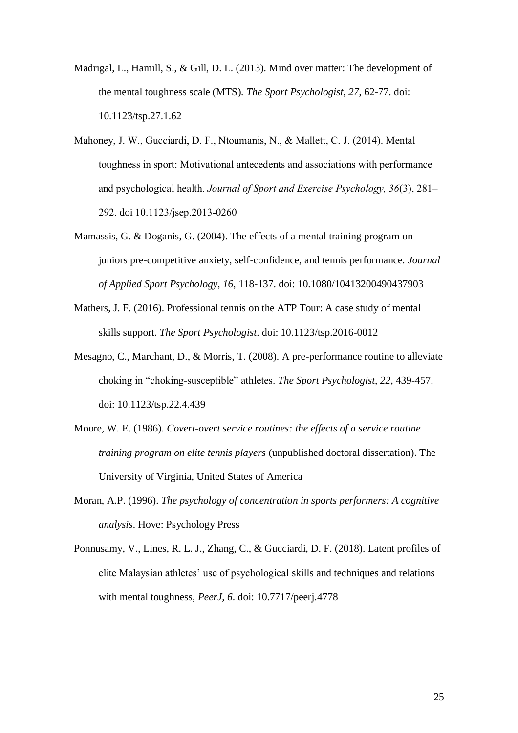- Madrigal, L., Hamill, S., & Gill, D. L. (2013). Mind over matter: The development of the mental toughness scale (MTS)*. The Sport Psychologist, 27*, 62-77. doi: 10.1123/tsp.27.1.62
- Mahoney, J. W., Gucciardi, D. F., Ntoumanis, N., & Mallett, C. J. (2014). Mental toughness in sport: Motivational antecedents and associations with performance and psychological health. *Journal of Sport and Exercise Psychology, 36*(3), 281– 292. doi 10.1123/jsep.2013-0260
- Mamassis, G. & Doganis, G. (2004). The effects of a mental training program on juniors pre-competitive anxiety, self-confidence, and tennis performance. *Journal of Applied Sport Psychology, 16,* 118-137. doi: 10.1080/10413200490437903
- Mathers, J. F. (2016). Professional tennis on the ATP Tour: A case study of mental skills support. *The Sport Psychologist*. doi: 10.1123/tsp.2016-0012
- Mesagno, C., Marchant, D., & Morris, T. (2008). A pre-performance routine to alleviate choking in "choking-susceptible" athletes. *The Sport Psychologist, 22*, 439-457. doi: 10.1123/tsp.22.4.439
- Moore, W. E. (1986). *Covert-overt service routines: the effects of a service routine training program on elite tennis players* (unpublished doctoral dissertation). The University of Virginia, United States of America
- Moran, A.P. (1996). *The psychology of concentration in sports performers: A cognitive analysis*. Hove: Psychology Press
- Ponnusamy, V., Lines, R. L. J., Zhang, C., & Gucciardi, D. F. (2018). Latent profiles of elite Malaysian athletes' use of psychological skills and techniques and relations with mental toughness, *PeerJ, 6*. doi: 10.7717/peerj.4778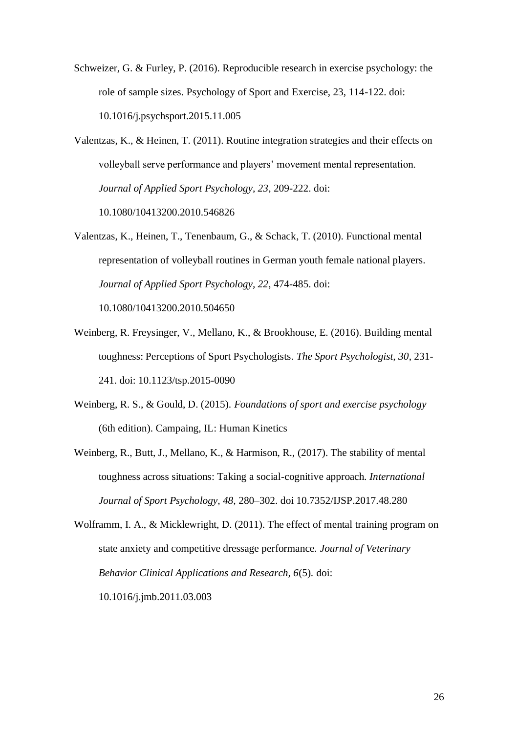- Schweizer, G. & Furley, P. (2016). Reproducible research in exercise psychology: the role of sample sizes. Psychology of Sport and Exercise, 23, 114-122. doi: 10.1016/j.psychsport.2015.11.005
- Valentzas, K., & Heinen, T. (2011). Routine integration strategies and their effects on volleyball serve performance and players' movement mental representation. *Journal of Applied Sport Psychology, 23*, 209-222. doi: 10.1080/10413200.2010.546826
- Valentzas, K., Heinen, T., Tenenbaum, G., & Schack, T. (2010). Functional mental representation of volleyball routines in German youth female national players. *Journal of Applied Sport Psychology, 22*, 474-485. doi: 10.1080/10413200.2010.504650
- Weinberg, R. Freysinger, V., Mellano, K., & Brookhouse, E. (2016). Building mental toughness: Perceptions of Sport Psychologists. *The Sport Psychologist, 30*, 231- 241. doi: 10.1123/tsp.2015-0090
- Weinberg, R. S., & Gould, D. (2015). *Foundations of sport and exercise psychology*  (6th edition). Campaing, IL: Human Kinetics
- Weinberg, R., Butt, J., Mellano, K., & Harmison, R., (2017). The stability of mental toughness across situations: Taking a social-cognitive approach. *International Journal of Sport Psychology, 48,* 280–302. doi 10.7352/IJSP.2017.48.280
- Wolframm, I. A., & Micklewright, D. (2011). The effect of mental training program on state anxiety and competitive dressage performance. *Journal of Veterinary Behavior Clinical Applications and Research, 6*(5)*.* doi: 10.1016/j.jmb.2011.03.003